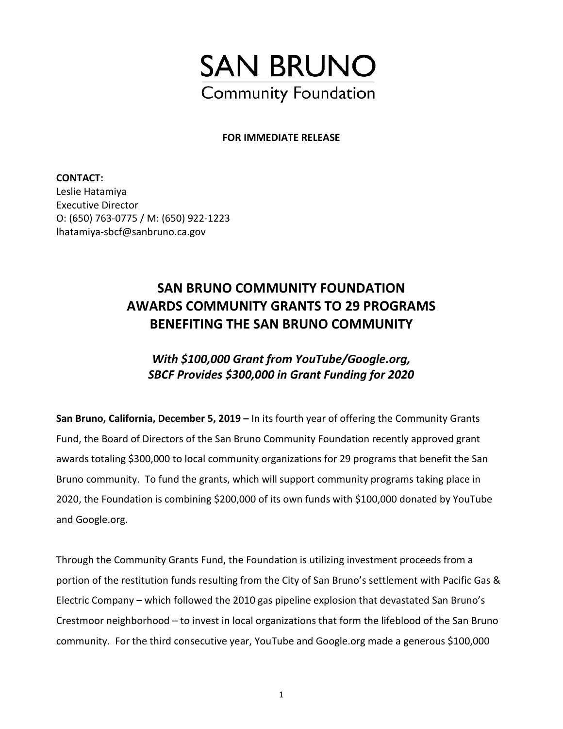

## **FOR IMMEDIATE RELEASE**

**CONTACT:**  Leslie Hatamiya Executive Director O: (650) 763-0775 / M: (650) 922-1223 lhatamiya-sbcf@sanbruno.ca.gov

## **SAN BRUNO COMMUNITY FOUNDATION AWARDS COMMUNITY GRANTS TO 29 PROGRAMS BENEFITING THE SAN BRUNO COMMUNITY**

## *With \$100,000 Grant from YouTube/Google.org, SBCF Provides \$300,000 in Grant Funding for 2020*

**San Bruno, California, December 5, 2019 –** In its fourth year of offering the Community Grants Fund, the Board of Directors of the San Bruno Community Foundation recently approved grant awards totaling \$300,000 to local community organizations for 29 programs that benefit the San Bruno community. To fund the grants, which will support community programs taking place in 2020, the Foundation is combining \$200,000 of its own funds with \$100,000 donated by YouTube and Google.org.

Through the Community Grants Fund, the Foundation is utilizing investment proceeds from a portion of the restitution funds resulting from the City of San Bruno's settlement with Pacific Gas & Electric Company – which followed the 2010 gas pipeline explosion that devastated San Bruno's Crestmoor neighborhood – to invest in local organizations that form the lifeblood of the San Bruno community. For the third consecutive year, YouTube and Google.org made a generous \$100,000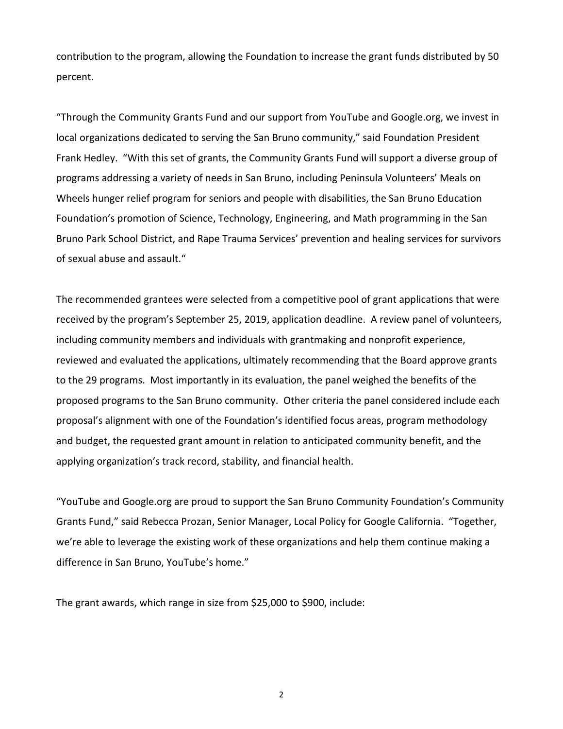contribution to the program, allowing the Foundation to increase the grant funds distributed by 50 percent.

"Through the Community Grants Fund and our support from YouTube and Google.org, we invest in local organizations dedicated to serving the San Bruno community," said Foundation President Frank Hedley. "With this set of grants, the Community Grants Fund will support a diverse group of programs addressing a variety of needs in San Bruno, including Peninsula Volunteers' Meals on Wheels hunger relief program for seniors and people with disabilities, the San Bruno Education Foundation's promotion of Science, Technology, Engineering, and Math programming in the San Bruno Park School District, and Rape Trauma Services' prevention and healing services for survivors of sexual abuse and assault."

The recommended grantees were selected from a competitive pool of grant applications that were received by the program's September 25, 2019, application deadline. A review panel of volunteers, including community members and individuals with grantmaking and nonprofit experience, reviewed and evaluated the applications, ultimately recommending that the Board approve grants to the 29 programs. Most importantly in its evaluation, the panel weighed the benefits of the proposed programs to the San Bruno community. Other criteria the panel considered include each proposal's alignment with one of the Foundation's identified focus areas, program methodology and budget, the requested grant amount in relation to anticipated community benefit, and the applying organization's track record, stability, and financial health.

"YouTube and Google.org are proud to support the San Bruno Community Foundation's Community Grants Fund," said Rebecca Prozan, Senior Manager, Local Policy for Google California. "Together, we're able to leverage the existing work of these organizations and help them continue making a difference in San Bruno, YouTube's home."

The grant awards, which range in size from \$25,000 to \$900, include:

2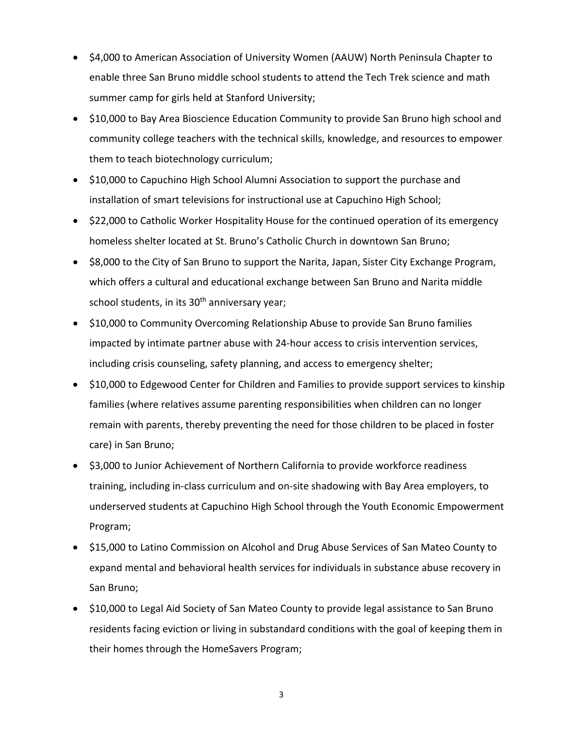- \$4,000 to American Association of University Women (AAUW) North Peninsula Chapter to enable three San Bruno middle school students to attend the Tech Trek science and math summer camp for girls held at Stanford University;
- \$10,000 to Bay Area Bioscience Education Community to provide San Bruno high school and community college teachers with the technical skills, knowledge, and resources to empower them to teach biotechnology curriculum;
- \$10,000 to Capuchino High School Alumni Association to support the purchase and installation of smart televisions for instructional use at Capuchino High School;
- \$22,000 to Catholic Worker Hospitality House for the continued operation of its emergency homeless shelter located at St. Bruno's Catholic Church in downtown San Bruno;
- \$8,000 to the City of San Bruno to support the Narita, Japan, Sister City Exchange Program, which offers a cultural and educational exchange between San Bruno and Narita middle school students, in its 30<sup>th</sup> anniversary year;
- \$10,000 to Community Overcoming Relationship Abuse to provide San Bruno families impacted by intimate partner abuse with 24-hour access to crisis intervention services, including crisis counseling, safety planning, and access to emergency shelter;
- \$10,000 to Edgewood Center for Children and Families to provide support services to kinship families (where relatives assume parenting responsibilities when children can no longer remain with parents, thereby preventing the need for those children to be placed in foster care) in San Bruno;
- \$3,000 to Junior Achievement of Northern California to provide workforce readiness training, including in-class curriculum and on-site shadowing with Bay Area employers, to underserved students at Capuchino High School through the Youth Economic Empowerment Program;
- \$15,000 to Latino Commission on Alcohol and Drug Abuse Services of San Mateo County to expand mental and behavioral health services for individuals in substance abuse recovery in San Bruno;
- \$10,000 to Legal Aid Society of San Mateo County to provide legal assistance to San Bruno residents facing eviction or living in substandard conditions with the goal of keeping them in their homes through the HomeSavers Program;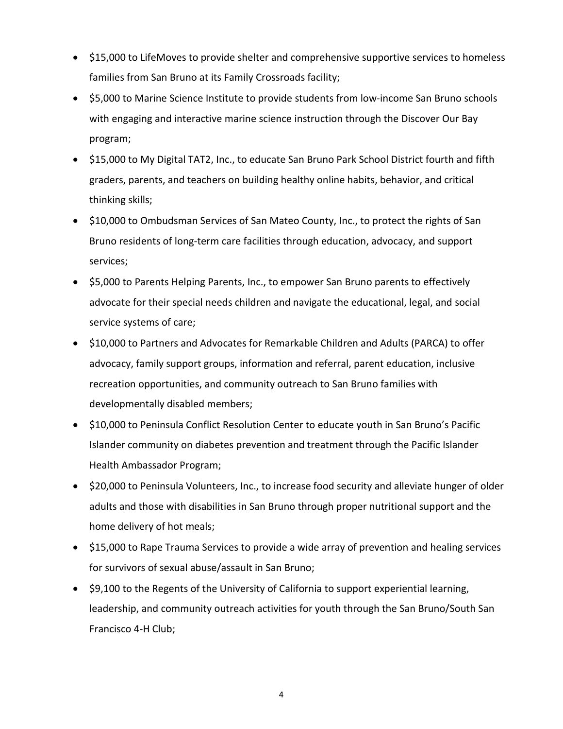- \$15,000 to LifeMoves to provide shelter and comprehensive supportive services to homeless families from San Bruno at its Family Crossroads facility;
- \$5,000 to Marine Science Institute to provide students from low-income San Bruno schools with engaging and interactive marine science instruction through the Discover Our Bay program;
- \$15,000 to My Digital TAT2, Inc., to educate San Bruno Park School District fourth and fifth graders, parents, and teachers on building healthy online habits, behavior, and critical thinking skills;
- \$10,000 to Ombudsman Services of San Mateo County, Inc., to protect the rights of San Bruno residents of long-term care facilities through education, advocacy, and support services;
- \$5,000 to Parents Helping Parents, Inc., to empower San Bruno parents to effectively advocate for their special needs children and navigate the educational, legal, and social service systems of care;
- \$10,000 to Partners and Advocates for Remarkable Children and Adults (PARCA) to offer advocacy, family support groups, information and referral, parent education, inclusive recreation opportunities, and community outreach to San Bruno families with developmentally disabled members;
- \$10,000 to Peninsula Conflict Resolution Center to educate youth in San Bruno's Pacific Islander community on diabetes prevention and treatment through the Pacific Islander Health Ambassador Program;
- \$20,000 to Peninsula Volunteers, Inc., to increase food security and alleviate hunger of older adults and those with disabilities in San Bruno through proper nutritional support and the home delivery of hot meals;
- \$15,000 to Rape Trauma Services to provide a wide array of prevention and healing services for survivors of sexual abuse/assault in San Bruno;
- \$9,100 to the Regents of the University of California to support experiential learning, leadership, and community outreach activities for youth through the San Bruno/South San Francisco 4-H Club;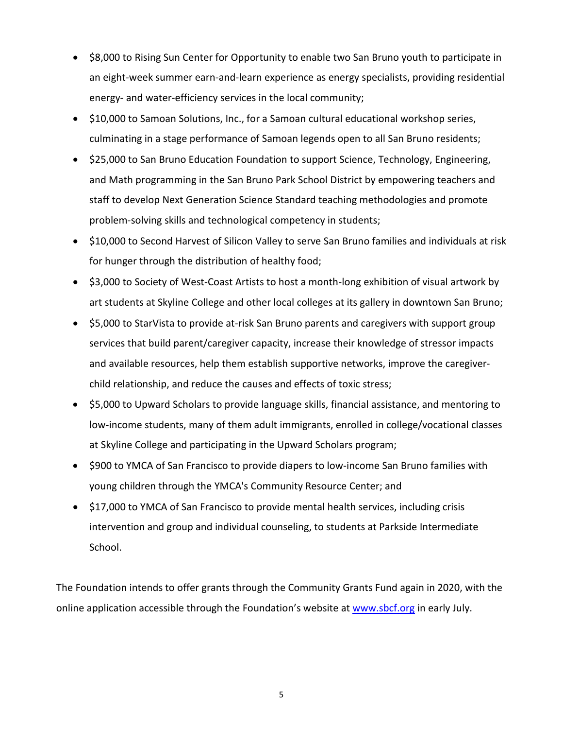- \$8,000 to Rising Sun Center for Opportunity to enable two San Bruno youth to participate in an eight-week summer earn-and-learn experience as energy specialists, providing residential energy- and water-efficiency services in the local community;
- \$10,000 to Samoan Solutions, Inc., for a Samoan cultural educational workshop series, culminating in a stage performance of Samoan legends open to all San Bruno residents;
- \$25,000 to San Bruno Education Foundation to support Science, Technology, Engineering, and Math programming in the San Bruno Park School District by empowering teachers and staff to develop Next Generation Science Standard teaching methodologies and promote problem-solving skills and technological competency in students;
- \$10,000 to Second Harvest of Silicon Valley to serve San Bruno families and individuals at risk for hunger through the distribution of healthy food;
- \$3,000 to Society of West-Coast Artists to host a month-long exhibition of visual artwork by art students at Skyline College and other local colleges at its gallery in downtown San Bruno;
- \$5,000 to StarVista to provide at-risk San Bruno parents and caregivers with support group services that build parent/caregiver capacity, increase their knowledge of stressor impacts and available resources, help them establish supportive networks, improve the caregiverchild relationship, and reduce the causes and effects of toxic stress;
- \$5,000 to Upward Scholars to provide language skills, financial assistance, and mentoring to low-income students, many of them adult immigrants, enrolled in college/vocational classes at Skyline College and participating in the Upward Scholars program;
- \$900 to YMCA of San Francisco to provide diapers to low-income San Bruno families with young children through the YMCA's Community Resource Center; and
- \$17,000 to YMCA of San Francisco to provide mental health services, including crisis intervention and group and individual counseling, to students at Parkside Intermediate School.

The Foundation intends to offer grants through the Community Grants Fund again in 2020, with the online application accessible through the Foundation's website at [www.sbcf.org](http://www.sbcf.org/) in early July.